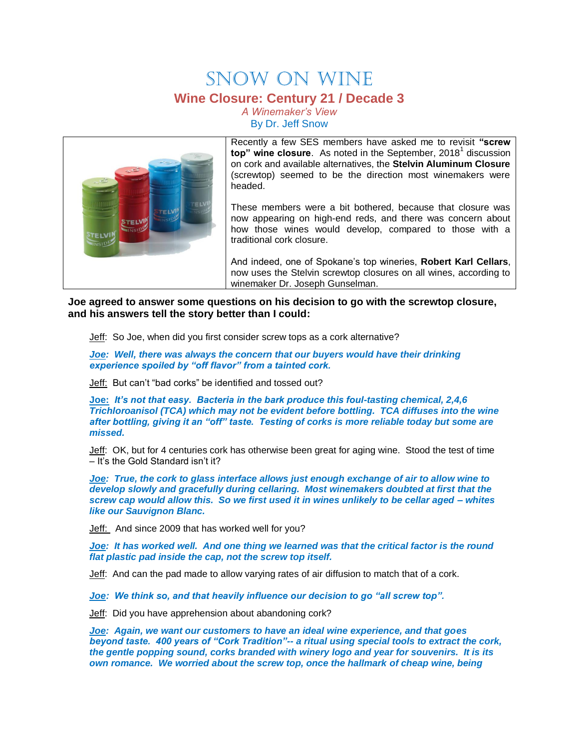## SNOW ON WINE **Wine Closure: Century 21 / Decade 3**

*A Winemaker's View* By Dr. Jeff Snow



Recently a few SES members have asked me to revisit **"screw**  top" wine closure. As noted in the September, 2018<sup>1</sup> discussion on cork and available alternatives, the **Stelvin Aluminum Closure** (screwtop) seemed to be the direction most winemakers were headed.

These members were a bit bothered, because that closure was now appearing on high-end reds, and there was concern about how those wines would develop, compared to those with a traditional cork closure.

And indeed, one of Spokane's top wineries, **Robert Karl Cellars**, now uses the Stelvin screwtop closures on all wines, according to winemaker Dr. Joseph Gunselman.

**Joe agreed to answer some questions on his decision to go with the screwtop closure, and his answers tell the story better than I could:**

Jeff: So Joe, when did you first consider screw tops as a cork alternative?

*Joe: Well, there was always the concern that our buyers would have their drinking experience spoiled by "off flavor" from a tainted cork.*

Jeff: But can't "bad corks" be identified and tossed out?

**Joe:** *It's not that easy. Bacteria in the bark produce this foul-tasting chemical, 2,4,6 Trichloroanisol (TCA) which may not be evident before bottling. TCA diffuses into the wine after bottling, giving it an "off" taste. Testing of corks is more reliable today but some are missed.*

Jeff: OK, but for 4 centuries cork has otherwise been great for aging wine. Stood the test of time – It's the Gold Standard isn't it?

*Joe: True, the cork to glass interface allows just enough exchange of air to allow wine to develop slowly and gracefully during cellaring. Most winemakers doubted at first that the screw cap would allow this. So we first used it in wines unlikely to be cellar aged – whites like our Sauvignon Blanc.*

Jeff: And since 2009 that has worked well for you?

*Joe: It has worked well. And one thing we learned was that the critical factor is the round flat plastic pad inside the cap, not the screw top itself.*

Jeff: And can the pad made to allow varying rates of air diffusion to match that of a cork.

*Joe: We think so, and that heavily influence our decision to go "all screw top".*

Jeff: Did you have apprehension about abandoning cork?

*Joe: Again, we want our customers to have an ideal wine experience, and that goes beyond taste. 400 years of "Cork Tradition"-- a ritual using special tools to extract the cork, the gentle popping sound, corks branded with winery logo and year for souvenirs. It is its own romance. We worried about the screw top, once the hallmark of cheap wine, being*